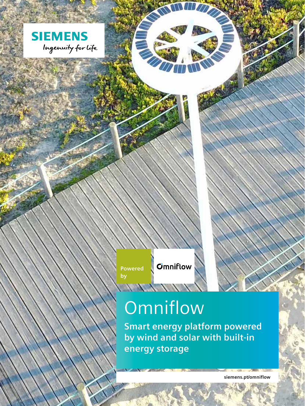

**Powered by** 

**Omniflow** 

# **Omniflow**

NANANY'

**Smart energy platform powered by wind and solar with built-in energy storage**

**siemens.pt/omniflow**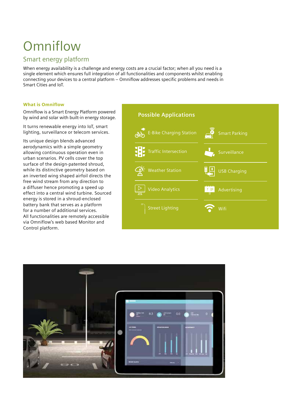## **Omniflow**

### Smart energy platform

When energy availability is a challenge and energy costs are a crucial factor; when all you need is a single element which ensures full integration of all functionalities and components whilst enabling connecting your devices to a central platform – Omniflow addresses specific problems and needs in Smart Cities and IoT.

### What is Omniflow

Omniflow is a Smart Energy Platform powered by wind and solar with built-in energy storage.

It turns renewable energy into IoT, smart lighting, surveillance or telecom services.

Its unique design blends advanced aerodynamics with a simple geometry allowing continuous operation even in urban scenarios. PV cells cover the top surface of the design-patented shroud, while its distinctive geometry based on an inverted wing shaped airfoil directs the free wind stream from any direction to a diffuser hence promoting a speed up effect into a central wind turbine. Sourced energy is stored in a shroud-enclosed battery bank that serves as a platform for a number of additional services. All functionalities are remotely accessible via Omniflow's web based Monitor and Control platform.



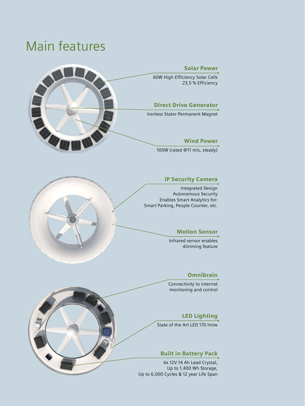### Main features



### IP Security Camera

Integrated Design Autonomous Security Enables Smart Analytics for: Smart Parking, People Counter, etc.



Infrared sensor enables dimming feature

### Omnibrain

Connectivity to internet monitoring and control

### LED Lighting

State of the Art LED 170 lm/w

### Built in Battery Pack

6x 12V 14 Ah Lead Crystal, Up to 1,400 Wh Storage, Up to 6,000 Cycles & 12 year Life Span

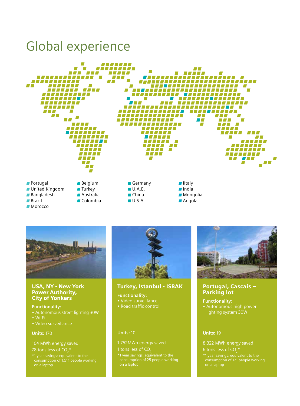### Global experience





### USA, NY - New York Power Authority, City of Yonkers

**Functionality:** • Autonomous street lighting 30W • Wi-Fi • Video surveillance

#### **Units:** 170

104 MWh energy saved

78 tons less of CO $_2^{\star}$ 

consumption of 1.511 people working on a laptop



### Turkey, Istanbul - ISBAK

**Functionality:** • Video surveillance • Road traffic control

#### **Units:** 10

### 1.752MWh energy saved

1 tons less of CO<sub>2</sub>

consumption of 25 people working on a laptop



### Portugal, Cascais – Parking lot

**Functionality:** • Autonomous high power lighting system 30W

### **Units:** 19

- 8.322 MWh energy saved
- 6 tons less of CO<sub>2</sub>\*
- consumption of 121 people working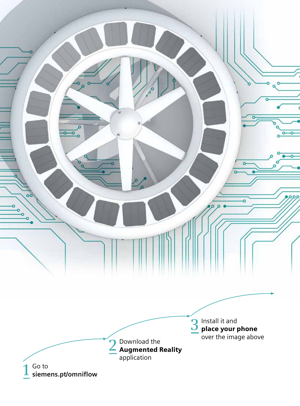